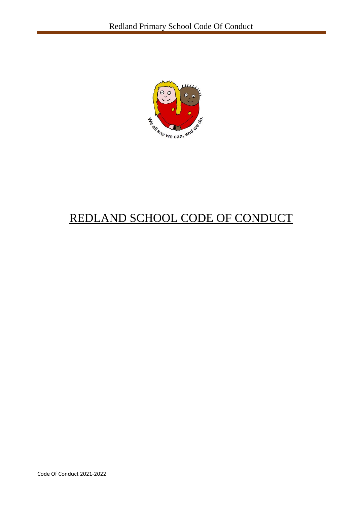

# REDLAND SCHOOL CODE OF CONDUCT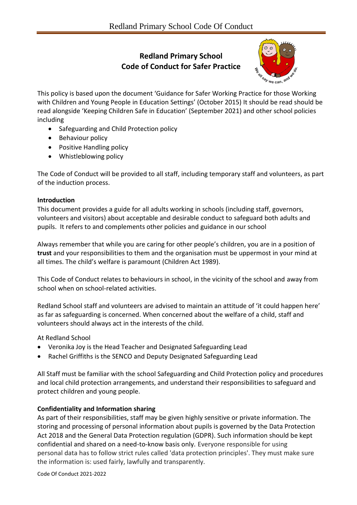# **Redland Primary School Code of Conduct for Safer Practice**



This policy is based upon the document 'Guidance for Safer Working Practice for those Working with Children and Young People in Education Settings' (October 2015) It should be read should be read alongside 'Keeping Children Safe in Education' (September 2021) and other school policies including

- Safeguarding and Child Protection policy
- Behaviour policy
- Positive Handling policy
- Whistleblowing policy

The Code of Conduct will be provided to all staff, including temporary staff and volunteers, as part of the induction process.

## **Introduction**

This document provides a guide for all adults working in schools (including staff, governors, volunteers and visitors) about acceptable and desirable conduct to safeguard both adults and pupils. It refers to and complements other policies and guidance in our school

Always remember that while you are caring for other people's children, you are in a position of **trust** and your responsibilities to them and the organisation must be uppermost in your mind at all times. The child's welfare is paramount (Children Act 1989).

This Code of Conduct relates to behaviours in school, in the vicinity of the school and away from school when on school-related activities.

Redland School staff and volunteers are advised to maintain an attitude of 'it could happen here' as far as safeguarding is concerned. When concerned about the welfare of a child, staff and volunteers should always act in the interests of the child.

At Redland School

- Veronika Joy is the Head Teacher and Designated Safeguarding Lead
- Rachel Griffiths is the SENCO and Deputy Designated Safeguarding Lead

All Staff must be familiar with the school Safeguarding and Child Protection policy and procedures and local child protection arrangements, and understand their responsibilities to safeguard and protect children and young people.

## **Confidentiality and Information sharing**

As part of their responsibilities, staff may be given highly sensitive or private information. The storing and processing of personal information about pupils is governed by the Data Protection Act 2018 and the General Data Protection regulation (GDPR). Such information should be kept confidential and shared on a need-to-know basis only. Everyone responsible for using personal data has to follow strict rules called 'data protection principles'. They must make sure the information is: used fairly, lawfully and transparently.

Code Of Conduct 2021-2022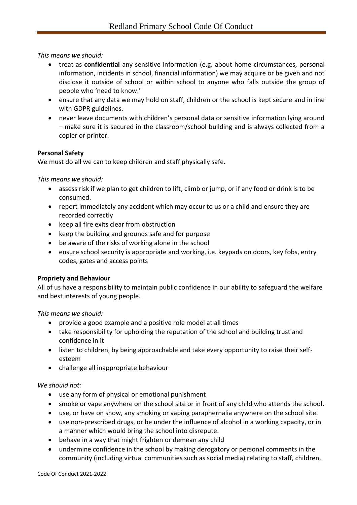*This means we should:*

- treat as **confidential** any sensitive information (e.g. about home circumstances, personal information, incidents in school, financial information) we may acquire or be given and not disclose it outside of school or within school to anyone who falls outside the group of people who 'need to know.'
- ensure that any data we may hold on staff, children or the school is kept secure and in line with GDPR guidelines.
- never leave documents with children's personal data or sensitive information lying around – make sure it is secured in the classroom/school building and is always collected from a copier or printer.

## **Personal Safety**

We must do all we can to keep children and staff physically safe.

*This means we should:*

- assess risk if we plan to get children to lift, climb or jump, or if any food or drink is to be consumed.
- report immediately any accident which may occur to us or a child and ensure they are recorded correctly
- keep all fire exits clear from obstruction
- keep the building and grounds safe and for purpose
- be aware of the risks of working alone in the school
- ensure school security is appropriate and working, i.e. keypads on doors, key fobs, entry codes, gates and access points

## **Propriety and Behaviour**

All of us have a responsibility to maintain public confidence in our ability to safeguard the welfare and best interests of young people.

*This means we should:*

- provide a good example and a positive role model at all times
- take responsibility for upholding the reputation of the school and building trust and confidence in it
- listen to children, by being approachable and take every opportunity to raise their selfesteem
- challenge all inappropriate behaviour

## *We should not:*

- use any form of physical or emotional punishment
- smoke or vape anywhere on the school site or in front of any child who attends the school.
- use, or have on show, any smoking or vaping paraphernalia anywhere on the school site.
- use non-prescribed drugs, or be under the influence of alcohol in a working capacity, or in a manner which would bring the school into disrepute.
- behave in a way that might frighten or demean any child
- undermine confidence in the school by making derogatory or personal comments in the community (including virtual communities such as social media) relating to staff, children,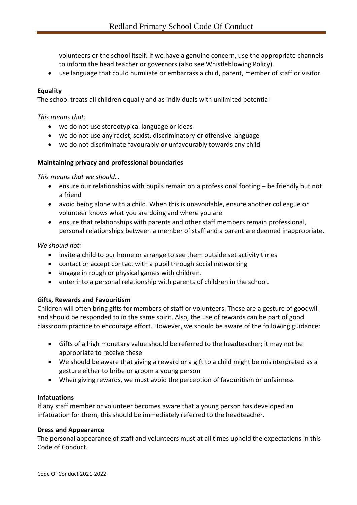volunteers or the school itself. If we have a genuine concern, use the appropriate channels to inform the head teacher or governors (also see Whistleblowing Policy).

• use language that could humiliate or embarrass a child, parent, member of staff or visitor.

## **Equality**

The school treats all children equally and as individuals with unlimited potential

*This means that:*

- we do not use stereotypical language or ideas
- we do not use any racist, sexist, discriminatory or offensive language
- we do not discriminate favourably or unfavourably towards any child

#### **Maintaining privacy and professional boundaries**

*This means that we should…*

- ensure our relationships with pupils remain on a professional footing be friendly but not a friend
- avoid being alone with a child. When this is unavoidable, ensure another colleague or volunteer knows what you are doing and where you are.
- ensure that relationships with parents and other staff members remain professional, personal relationships between a member of staff and a parent are deemed inappropriate.

#### *We should not:*

- invite a child to our home or arrange to see them outside set activity times
- contact or accept contact with a pupil through social networking
- engage in rough or physical games with children.
- enter into a personal relationship with parents of children in the school.

#### **Gifts, Rewards and Favouritism**

Children will often bring gifts for members of staff or volunteers. These are a gesture of goodwill and should be responded to in the same spirit. Also, the use of rewards can be part of good classroom practice to encourage effort. However, we should be aware of the following guidance:

- Gifts of a high monetary value should be referred to the headteacher; it may not be appropriate to receive these
- We should be aware that giving a reward or a gift to a child might be misinterpreted as a gesture either to bribe or groom a young person
- When giving rewards, we must avoid the perception of favouritism or unfairness

#### **Infatuations**

If any staff member or volunteer becomes aware that a young person has developed an infatuation for them, this should be immediately referred to the headteacher.

#### **Dress and Appearance**

The personal appearance of staff and volunteers must at all times uphold the expectations in this Code of Conduct.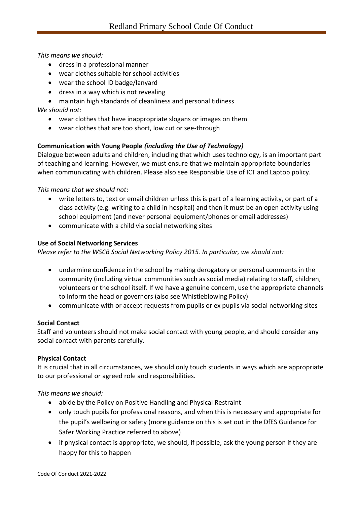## *This means we should:*

- dress in a professional manner
- wear clothes suitable for school activities
- wear the school ID badge/lanyard
- dress in a way which is not revealing
- maintain high standards of cleanliness and personal tidiness

*We should not:* 

- wear clothes that have inappropriate slogans or images on them
- wear clothes that are too short, low cut or see-through

## **Communication with Young People** *(including the Use of Technology)*

Dialogue between adults and children, including that which uses technology, is an important part of teaching and learning. However, we must ensure that we maintain appropriate boundaries when communicating with children. Please also see Responsible Use of ICT and Laptop policy.

*This means that we should not*:

- write letters to, text or email children unless this is part of a learning activity, or part of a class activity (e.g. writing to a child in hospital) and then it must be an open activity using school equipment (and never personal equipment/phones or email addresses)
- communicate with a child via social networking sites

#### **Use of Social Networking Services**

*Please refer to the WSCB Social Networking Policy 2015. In particular, we should not:*

- undermine confidence in the school by making derogatory or personal comments in the community (including virtual communities such as social media) relating to staff, children, volunteers or the school itself. If we have a genuine concern, use the appropriate channels to inform the head or governors (also see Whistleblowing Policy)
- communicate with or accept requests from pupils or ex pupils via social networking sites

## **Social Contact**

Staff and volunteers should not make social contact with young people, and should consider any social contact with parents carefully.

## **Physical Contact**

It is crucial that in all circumstances, we should only touch students in ways which are appropriate to our professional or agreed role and responsibilities.

*This means we should:*

- abide by the Policy on Positive Handling and Physical Restraint
- only touch pupils for professional reasons, and when this is necessary and appropriate for the pupil's wellbeing or safety (more guidance on this is set out in the DfES Guidance for Safer Working Practice referred to above)
- if physical contact is appropriate, we should, if possible, ask the young person if they are happy for this to happen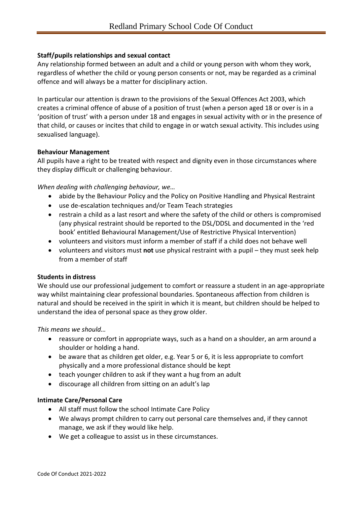## **Staff/pupils relationships and sexual contact**

Any relationship formed between an adult and a child or young person with whom they work, regardless of whether the child or young person consents or not, may be regarded as a criminal offence and will always be a matter for disciplinary action.

In particular our attention is drawn to the provisions of the Sexual Offences Act 2003, which creates a criminal offence of abuse of a position of trust (when a person aged 18 or over is in a 'position of trust' with a person under 18 and engages in sexual activity with or in the presence of that child, or causes or incites that child to engage in or watch sexual activity. This includes using sexualised language).

## **Behaviour Management**

All pupils have a right to be treated with respect and dignity even in those circumstances where they display difficult or challenging behaviour.

*When dealing with challenging behaviour, we…*

- abide by the Behaviour Policy and the Policy on Positive Handling and Physical Restraint
- use de-escalation techniques and/or Team Teach strategies
- restrain a child as a last resort and where the safety of the child or others is compromised (any physical restraint should be reported to the DSL/DDSL and documented in the 'red book' entitled Behavioural Management/Use of Restrictive Physical Intervention)
- volunteers and visitors must inform a member of staff if a child does not behave well
- volunteers and visitors must **not** use physical restraint with a pupil they must seek help from a member of staff

## **Students in distress**

We should use our professional judgement to comfort or reassure a student in an age-appropriate way whilst maintaining clear professional boundaries. Spontaneous affection from children is natural and should be received in the spirit in which it is meant, but children should be helped to understand the idea of personal space as they grow older.

*This means we should…*

- reassure or comfort in appropriate ways, such as a hand on a shoulder, an arm around a shoulder or holding a hand.
- be aware that as children get older, e.g. Year 5 or 6, it is less appropriate to comfort physically and a more professional distance should be kept
- teach younger children to ask if they want a hug from an adult
- discourage all children from sitting on an adult's lap

## **Intimate Care/Personal Care**

- All staff must follow the school Intimate Care Policy
- We always prompt children to carry out personal care themselves and, if they cannot manage, we ask if they would like help.
- We get a colleague to assist us in these circumstances.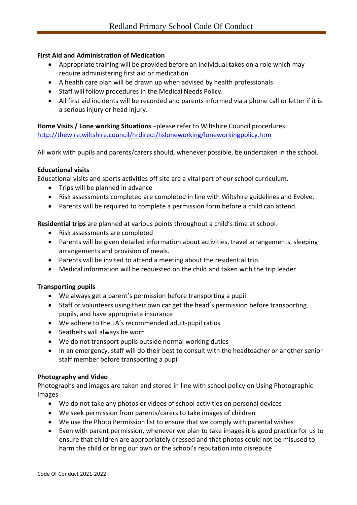## **First Aid and Administration of Medication**

- Appropriate training will be provided before an individual takes on a role which may require administering first aid or medication
- A health care plan will be drawn up when advised by health professionals
- Staff will follow procedures in the Medical Needs Policy.
- All first aid incidents will be recorded and parents informed via a phone call or letter if it is a serious injury or head injury.

**Home Visits / Lone working Situations** –please refer to Wiltshire Council procedures: <http://thewire.wiltshire.council/hrdirect/hsloneworking/loneworkingpolicy.htm>

All work with pupils and parents/carers should, whenever possible, be undertaken in the school.

#### **Educational visits**

Educational visits and sports activities off site are a vital part of our school curriculum.

- Trips will be planned in advance
- Risk assessments completed are completed in line with Wiltshire guidelines and Evolve.
- Parents will be required to complete a permission form before a child can attend.

**Residential trips** are planned at various points throughout a child's time at school.

- Risk assessments are completed
- Parents will be given detailed information about activities, travel arrangements, sleeping arrangements and provision of meals.
- Parents will be invited to attend a meeting about the residential trip.
- Medical information will be requested on the child and taken with the trip leader

#### **Transporting pupils**

- We always get a parent's permission before transporting a pupil
- Staff or volunteers using their own car get the head's permission before transporting pupils, and have appropriate insurance
- We adhere to the LA's recommended adult-pupil ratios
- Seatbelts will always be worn
- We do not transport pupils outside normal working duties
- In an emergency, staff will do their best to consult with the headteacher or another senior staff member before transporting a pupil

#### **Photography and Video**

Photographs and images are taken and stored in line with school policy on Using Photographic Images

- We do not take any photos or videos of school activities on personal devices
- We seek permission from parents/carers to take images of children
- We use the Photo Permission list to ensure that we comply with parental wishes
- Even with parent permission, whenever we plan to take images it is good practice for us to ensure that children are appropriately dressed and that photos could not be misused to harm the child or bring our own or the school's reputation into disrepute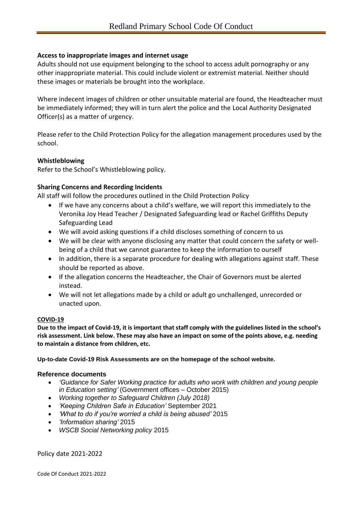### **Access to inappropriate images and internet usage**

Adults should not use equipment belonging to the school to access adult pornography or any other inappropriate material. This could include violent or extremist material. Neither should these images or materials be brought into the workplace.

Where indecent images of children or other unsuitable material are found, the Headteacher must be immediately informed; they will in turn alert the police and the Local Authority Designated Officer(s) as a matter of urgency.

Please refer to the Child Protection Policy for the allegation management procedures used by the school.

#### **Whistleblowing**

Refer to the School's Whistleblowing policy.

#### **Sharing Concerns and Recording Incidents**

All staff will follow the procedures outlined in the Child Protection Policy

- If we have any concerns about a child's welfare, we will report this immediately to the Veronika Joy Head Teacher / Designated Safeguarding lead or Rachel Griffiths Deputy Safeguarding Lead
- We will avoid asking questions if a child discloses something of concern to us
- We will be clear with anyone disclosing any matter that could concern the safety or wellbeing of a child that we cannot guarantee to keep the information to ourself
- In addition, there is a separate procedure for dealing with allegations against staff. These should be reported as above.
- If the allegation concerns the Headteacher, the Chair of Governors must be alerted instead.
- We will not let allegations made by a child or adult go unchallenged, unrecorded or unacted upon.

#### **COVID-19**

**Due to the impact of Covid-19, it is important that staff comply with the guidelines listed in the school's risk assessment. Link below. These may also have an impact on some of the points above, e.g. needing to maintain a distance from children, etc.**

#### **Up-to-date Covid-19 Risk Assessments are on the homepage of the school website.**

#### **Reference documents**

- *'Guidance for Safer Working practice for adults who work with children and young people in Education setting'* (Government offices – October 2015)
- *Working together to Safeguard Children (July 2018)*
- *'Keeping Children Safe in Education'* September 2021
- *'What to do if you're worried a child is being abused'* 2015
- *'Information sharing'* 2015
- *WSCB Social Networking policy* 2015

Policy date 2021-2022